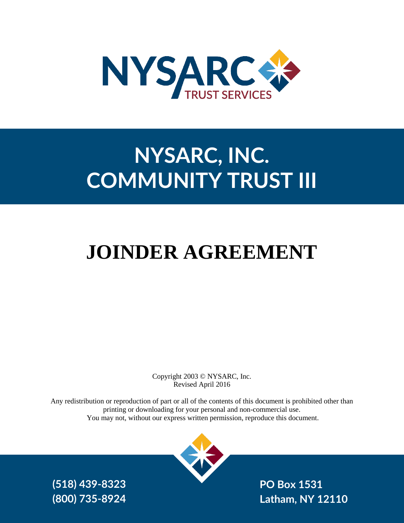

# **NYSARC, INC. COMMUNITY TRUST III**

# **JOINDER AGREEMENT**

Copyright 2003 © NYSARC, Inc. Revised April 2016

Any redistribution or reproduction of part or all of the contents of this document is prohibited other than printing or downloading for your personal and non-commercial use. You may not, without our express written permission, reproduce this document.



**PO Box 1531 Latham, NY 12110**

**(518) 439-8323 (800) 735-8924**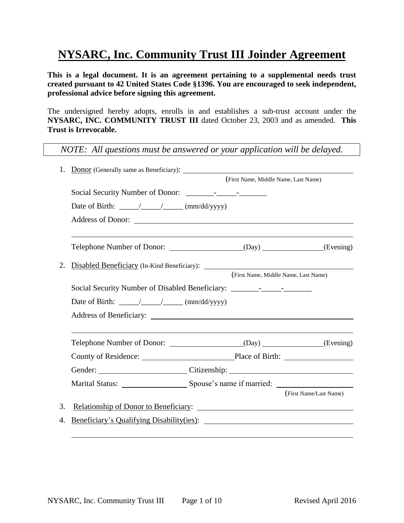# **NYSARC, Inc. Community Trust III Joinder Agreement**

**This is a legal document. It is an agreement pertaining to a supplemental needs trust created pursuant to 42 United States Code §1396. You are encouraged to seek independent, professional advice before signing this agreement.**

The undersigned hereby adopts, enrolls in and establishes a sub-trust account under the **NYSARC, INC. COMMUNITY TRUST III** dated October 23, 2003 and as amended. **This Trust is Irrevocable.**

*NOTE: All questions must be answered or your application will be delayed.*

| 1. | <b>Donor</b> (Generally same as Beneficiary):                                     |                                      |                                                              |
|----|-----------------------------------------------------------------------------------|--------------------------------------|--------------------------------------------------------------|
|    |                                                                                   | (First Name, Middle Name, Last Name) |                                                              |
|    |                                                                                   |                                      |                                                              |
|    |                                                                                   |                                      |                                                              |
|    |                                                                                   |                                      |                                                              |
|    |                                                                                   |                                      |                                                              |
|    |                                                                                   |                                      |                                                              |
| 2. | Disabled Beneficiary (In-Kind Beneficiary):                                       |                                      |                                                              |
|    |                                                                                   |                                      | (First Name, Middle Name, Last Name)                         |
|    | Social Security Number of Disabled Beneficiary: _________________________________ |                                      |                                                              |
|    |                                                                                   |                                      |                                                              |
|    |                                                                                   |                                      |                                                              |
|    |                                                                                   |                                      |                                                              |
|    |                                                                                   |                                      |                                                              |
|    | Gender: Citizenship: Citizenship:                                                 |                                      |                                                              |
|    |                                                                                   |                                      |                                                              |
|    |                                                                                   |                                      | (First Name/Last Name)                                       |
| 3. |                                                                                   |                                      |                                                              |
| 4. | Beneficiary's Qualifying Disability(ies):                                         |                                      | <u> 1989 - Johann Stein, mars and de Brasilian (b. 1989)</u> |
|    |                                                                                   |                                      |                                                              |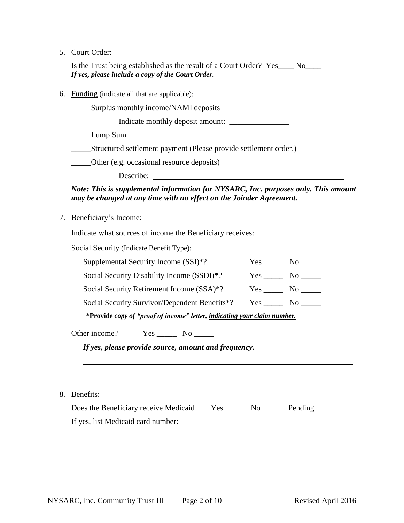## 5. Court Orde

| ວ. | Court Order:                                                                                                                                              |                    |
|----|-----------------------------------------------------------------------------------------------------------------------------------------------------------|--------------------|
|    | Is the Trust being established as the result of a Court Order? Yes____ No____<br>If yes, please include a copy of the Court Order.                        |                    |
| 6. | <b>Funding</b> (indicate all that are applicable):                                                                                                        |                    |
|    | Surplus monthly income/NAMI deposits                                                                                                                      |                    |
|    | Indicate monthly deposit amount:                                                                                                                          |                    |
|    | Lump Sum                                                                                                                                                  |                    |
|    | _________Structured settlement payment (Please provide settlement order.)                                                                                 |                    |
|    | Other (e.g. occasional resource deposits)                                                                                                                 |                    |
|    |                                                                                                                                                           |                    |
|    | Note: This is supplemental information for NYSARC, Inc. purposes only. This amount<br>may be changed at any time with no effect on the Joinder Agreement. |                    |
| 7. | Beneficiary's Income:                                                                                                                                     |                    |
|    | Indicate what sources of income the Beneficiary receives:                                                                                                 |                    |
|    | Social Security (Indicate Benefit Type):                                                                                                                  |                    |
|    | Supplemental Security Income (SSI)*?                                                                                                                      | $Yes$ No $\_\_\_\$ |
|    | Social Security Disability Income (SSDI)*?                                                                                                                |                    |
|    | Social Security Retirement Income (SSA)*?                                                                                                                 |                    |
|    | Social Security Survivor/Dependent Benefits*?                                                                                                             | $Yes$ No $\qquad$  |
|    | *Provide copy of "proof of income" letter, indicating your claim number.                                                                                  |                    |
|    |                                                                                                                                                           |                    |

Other income? Yes \_\_\_\_\_\_\_ No \_\_\_\_\_\_

*If yes, please provide source, amount and frequency.*

8. Benefits:

| Does the Beneficiary receive Medicaid | Yes. | No. | Pending |
|---------------------------------------|------|-----|---------|
| If yes, list Medicaid card number:    |      |     |         |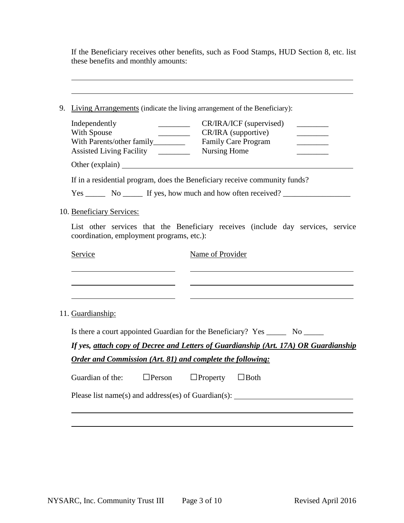If the Beneficiary receives other benefits, such as Food Stamps, HUD Section 8, etc. list these benefits and monthly amounts:

| Independently                                                                                                                 | CR/IRA/ICF (supervised)                                                                                                |  |  |
|-------------------------------------------------------------------------------------------------------------------------------|------------------------------------------------------------------------------------------------------------------------|--|--|
| With Spouse                                                                                                                   | CR/IRA (supportive)                                                                                                    |  |  |
|                                                                                                                               | <b>Family Care Program</b>                                                                                             |  |  |
| Assisted Living Facility ________                                                                                             | Nursing Home                                                                                                           |  |  |
|                                                                                                                               |                                                                                                                        |  |  |
| If in a residential program, does the Beneficiary receive community funds?                                                    |                                                                                                                        |  |  |
|                                                                                                                               |                                                                                                                        |  |  |
| 10. Beneficiary Services:                                                                                                     |                                                                                                                        |  |  |
| List other services that the Beneficiary receives (include day services, service<br>coordination, employment programs, etc.): |                                                                                                                        |  |  |
|                                                                                                                               |                                                                                                                        |  |  |
| Service                                                                                                                       | Name of Provider                                                                                                       |  |  |
|                                                                                                                               | <u> 1980 - Johann Stoff, deutscher Stoffen und der Stoffen und der Stoffen und der Stoffen und der Stoffen und der</u> |  |  |
| 11. Guardianship:                                                                                                             |                                                                                                                        |  |  |
|                                                                                                                               | Is there a court appointed Guardian for the Beneficiary? Yes ________ No _______                                       |  |  |
|                                                                                                                               | If yes, attach copy of Decree and Letters of Guardianship (Art. 17A) OR Guardianship                                   |  |  |
| Order and Commission (Art. 81) and complete the following:                                                                    |                                                                                                                        |  |  |
| Guardian of the:<br>$\Box$ Person                                                                                             | $\Box$ Property $\Box$ Both                                                                                            |  |  |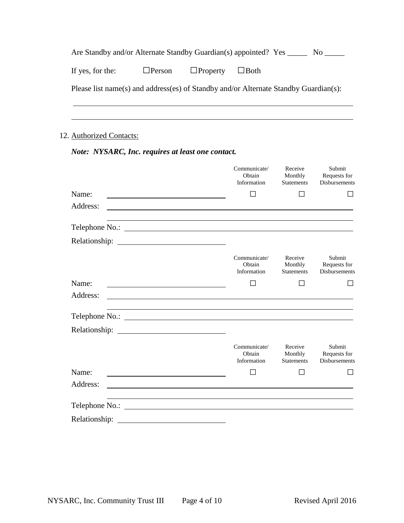| Are Standby and/or Alternate Standby Guardian(s) appointed? Yes<br>$\rm No$ |  |                                           |                                                                                      |  |
|-----------------------------------------------------------------------------|--|-------------------------------------------|--------------------------------------------------------------------------------------|--|
| If yes, for the:                                                            |  | $\Box$ Person $\Box$ Property $\Box$ Both |                                                                                      |  |
|                                                                             |  |                                           | Please list name(s) and address(es) of Standby and/or Alternate Standby Guardian(s): |  |
|                                                                             |  |                                           |                                                                                      |  |

## 12. Authorized Contacts:

## *Note: NYSARC, Inc. requires at least one contact.*

|                    | Communicate/<br>Obtain<br>Information             | Receive<br>Monthly<br><b>Statements</b> | Submit<br>Requests for<br><b>Disbursements</b> |
|--------------------|---------------------------------------------------|-----------------------------------------|------------------------------------------------|
| Name:              | □                                                 |                                         |                                                |
| Address:           |                                                   |                                         |                                                |
|                    |                                                   |                                         |                                                |
|                    |                                                   |                                         |                                                |
|                    | Communicate/<br>Obtain<br>Information             | Receive<br>Monthly<br><b>Statements</b> | Submit<br>Requests for<br><b>Disbursements</b> |
| Name:              | $\sim$                                            |                                         |                                                |
| Address:           |                                                   |                                         |                                                |
|                    |                                                   |                                         |                                                |
| Relationship: 2000 |                                                   |                                         |                                                |
|                    | Communicate/<br>Obtain<br>Information             | Receive<br>Monthly<br><b>Statements</b> | Submit<br>Requests for<br><b>Disbursements</b> |
| Name:              |                                                   |                                         |                                                |
| Address:           |                                                   |                                         |                                                |
| Telephone No.:     | <u> 1989 - Andrea Brand, amerikansk politik (</u> |                                         |                                                |
| Relationship:      |                                                   |                                         |                                                |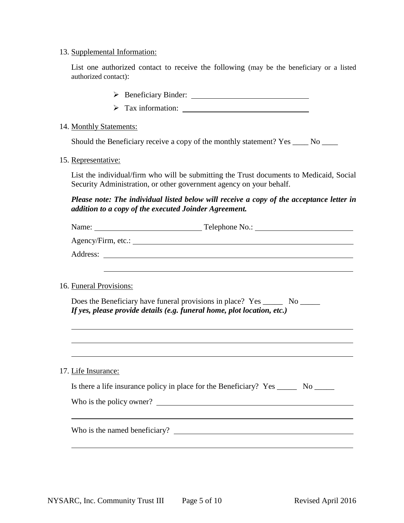#### 13. Supplemental Information:

List one authorized contact to receive the following (may be the beneficiary or a listed authorized contact):

- Beneficiary Binder:
- Tax information:

#### 14. Monthly Statements:

Should the Beneficiary receive a copy of the monthly statement? Yes \_\_\_\_\_ No \_\_\_\_

15. Representative:

List the individual/firm who will be submitting the Trust documents to Medicaid, Social Security Administration, or other government agency on your behalf.

*Please note: The individual listed below will receive a copy of the acceptance letter in addition to a copy of the executed Joinder Agreement.*

| 16. Funeral Provisions: |                                                                                                                                                         |
|-------------------------|---------------------------------------------------------------------------------------------------------------------------------------------------------|
|                         | Does the Beneficiary have funeral provisions in place? Yes _______ No ______<br>If yes, please provide details (e.g. funeral home, plot location, etc.) |
|                         |                                                                                                                                                         |
| 17. Life Insurance:     |                                                                                                                                                         |
|                         | Is there a life insurance policy in place for the Beneficiary? Yes ________ No _______                                                                  |
|                         | Who is the policy owner?                                                                                                                                |
|                         |                                                                                                                                                         |
|                         |                                                                                                                                                         |
|                         |                                                                                                                                                         |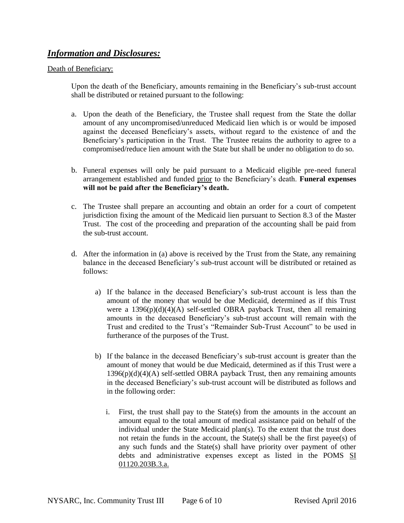## *Information and Disclosures:*

#### Death of Beneficiary:

Upon the death of the Beneficiary, amounts remaining in the Beneficiary's sub-trust account shall be distributed or retained pursuant to the following:

- a. Upon the death of the Beneficiary, the Trustee shall request from the State the dollar amount of any uncompromised/unreduced Medicaid lien which is or would be imposed against the deceased Beneficiary's assets, without regard to the existence of and the Beneficiary's participation in the Trust. The Trustee retains the authority to agree to a compromised/reduce lien amount with the State but shall be under no obligation to do so.
- b. Funeral expenses will only be paid pursuant to a Medicaid eligible pre-need funeral arrangement established and funded prior to the Beneficiary's death. **Funeral expenses will not be paid after the Beneficiary's death.**
- c. The Trustee shall prepare an accounting and obtain an order for a court of competent jurisdiction fixing the amount of the Medicaid lien pursuant to Section 8.3 of the Master Trust. The cost of the proceeding and preparation of the accounting shall be paid from the sub-trust account.
- d. After the information in (a) above is received by the Trust from the State, any remaining balance in the deceased Beneficiary's sub-trust account will be distributed or retained as follows:
	- a) If the balance in the deceased Beneficiary's sub-trust account is less than the amount of the money that would be due Medicaid, determined as if this Trust were a  $1396(p)(d)(4)(A)$  self-settled OBRA payback Trust, then all remaining amounts in the deceased Beneficiary's sub-trust account will remain with the Trust and credited to the Trust's "Remainder Sub-Trust Account" to be used in furtherance of the purposes of the Trust.
	- b) If the balance in the deceased Beneficiary's sub-trust account is greater than the amount of money that would be due Medicaid, determined as if this Trust were a  $1396(p)(d)(4)$ (A) self-settled OBRA payback Trust, then any remaining amounts in the deceased Beneficiary's sub-trust account will be distributed as follows and in the following order:
		- i. First, the trust shall pay to the State(s) from the amounts in the account an amount equal to the total amount of medical assistance paid on behalf of the individual under the State Medicaid plan(s). To the extent that the trust does not retain the funds in the account, the State(s) shall be the first payee(s) of any such funds and the State(s) shall have priority over payment of other debts and administrative expenses except as listed in the POMS SI 01120.203B.3.a.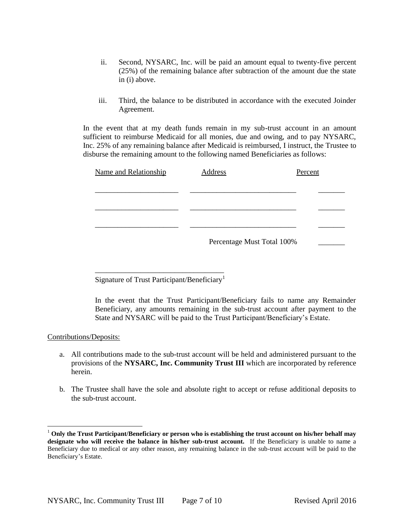- ii. Second, NYSARC, Inc. will be paid an amount equal to twenty-five percent (25%) of the remaining balance after subtraction of the amount due the state in (i) above.
- iii. Third, the balance to be distributed in accordance with the executed Joinder Agreement.

In the event that at my death funds remain in my sub-trust account in an amount sufficient to reimburse Medicaid for all monies, due and owing, and to pay NYSARC, Inc. 25% of any remaining balance after Medicaid is reimbursed, I instruct, the Trustee to disburse the remaining amount to the following named Beneficiaries as follows:

| Name and Relationship | Address                    | Percent |
|-----------------------|----------------------------|---------|
|                       |                            |         |
|                       |                            |         |
|                       |                            |         |
|                       |                            |         |
|                       | Percentage Must Total 100% |         |

\_\_\_\_\_\_\_\_\_\_\_\_\_\_\_\_\_\_\_\_\_\_\_\_\_\_\_\_\_\_\_\_\_\_ Signature of Trust Participant/Beneficiary<sup>1</sup>

In the event that the Trust Participant/Beneficiary fails to name any Remainder Beneficiary, any amounts remaining in the sub-trust account after payment to the State and NYSARC will be paid to the Trust Participant/Beneficiary's Estate.

#### Contributions/Deposits:

l

- a. All contributions made to the sub-trust account will be held and administered pursuant to the provisions of the **NYSARC, Inc. Community Trust III** which are incorporated by reference herein.
- b. The Trustee shall have the sole and absolute right to accept or refuse additional deposits to the sub-trust account.

<sup>1</sup> **Only the Trust Participant/Beneficiary or person who is establishing the trust account on his/her behalf may designate who will receive the balance in his/her sub-trust account.** If the Beneficiary is unable to name a Beneficiary due to medical or any other reason, any remaining balance in the sub-trust account will be paid to the Beneficiary's Estate.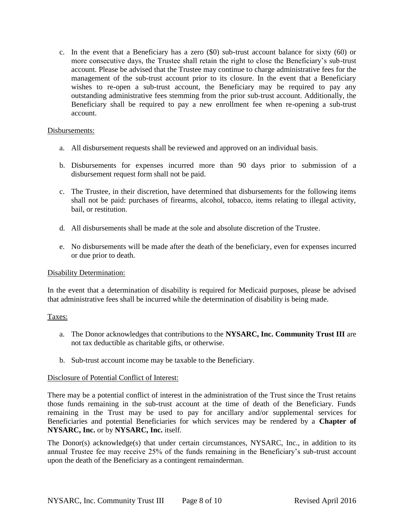c. In the event that a Beneficiary has a zero (\$0) sub-trust account balance for sixty (60) or more consecutive days, the Trustee shall retain the right to close the Beneficiary's sub-trust account. Please be advised that the Trustee may continue to charge administrative fees for the management of the sub-trust account prior to its closure. In the event that a Beneficiary wishes to re-open a sub-trust account, the Beneficiary may be required to pay any outstanding administrative fees stemming from the prior sub-trust account. Additionally, the Beneficiary shall be required to pay a new enrollment fee when re-opening a sub-trust account.

#### Disbursements:

- a. All disbursement requests shall be reviewed and approved on an individual basis.
- b. Disbursements for expenses incurred more than 90 days prior to submission of a disbursement request form shall not be paid.
- c. The Trustee, in their discretion, have determined that disbursements for the following items shall not be paid: purchases of firearms, alcohol, tobacco, items relating to illegal activity, bail, or restitution.
- d. All disbursements shall be made at the sole and absolute discretion of the Trustee.
- e. No disbursements will be made after the death of the beneficiary, even for expenses incurred or due prior to death.

#### Disability Determination:

In the event that a determination of disability is required for Medicaid purposes, please be advised that administrative fees shall be incurred while the determination of disability is being made.

#### Taxes:

- a. The Donor acknowledges that contributions to the **NYSARC, Inc. Community Trust III** are not tax deductible as charitable gifts, or otherwise.
- b. Sub-trust account income may be taxable to the Beneficiary.

#### Disclosure of Potential Conflict of Interest:

There may be a potential conflict of interest in the administration of the Trust since the Trust retains those funds remaining in the sub-trust account at the time of death of the Beneficiary. Funds remaining in the Trust may be used to pay for ancillary and/or supplemental services for Beneficiaries and potential Beneficiaries for which services may be rendered by a **Chapter of NYSARC, Inc.** or by **NYSARC, Inc.** itself.

The Donor(s) acknowledge(s) that under certain circumstances, NYSARC, Inc., in addition to its annual Trustee fee may receive 25% of the funds remaining in the Beneficiary's sub-trust account upon the death of the Beneficiary as a contingent remainderman.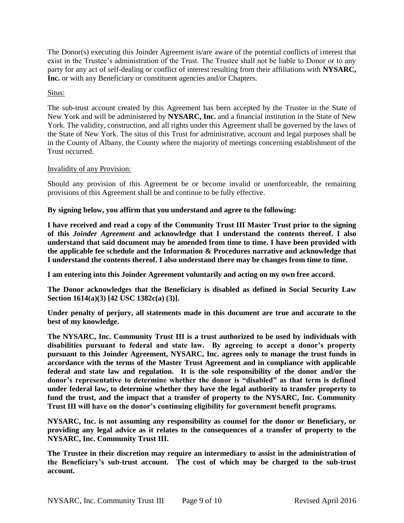The Donor(s) executing this Joinder Agreement is/are aware of the potential conflicts of interest that exist in the Trustee's administration of the Trust. The Trustee shall not be liable to Donor or to any party for any act of self-dealing or conflict of interest resulting from their affiliations with **NYSARC, Inc.** or with any Beneficiary or constituent agencies and/or Chapters.

#### Situs:

The sub-trust account created by this Agreement has been accepted by the Trustee in the State of New York and will be administered by **NYSARC, Inc.** and a financial institution in the State of New York. The validity, construction, and all rights under this Agreement shall be governed by the laws of the State of New York. The situs of this Trust for administrative, account and legal purposes shall be in the County of Albany, the County where the majority of meetings concerning establishment of the Trust occurred.

#### Invalidity of any Provision:

Should any provision of this Agreement be or become invalid or unenforceable, the remaining provisions of this Agreement shall be and continue to be fully effective.

#### **By signing below, you affirm that you understand and agree to the following:**

**I have received and read a copy of the Community Trust III Master Trust prior to the signing of this** *Joinder Agreement* **and acknowledge that I understand the contents thereof. I also understand that said document may be amended from time to time. I have been provided with the applicable fee schedule and the Information & Procedures narrative and acknowledge that I understand the contents thereof. I also understand there may be changes from time to time.**

**I am entering into this Joinder Agreement voluntarily and acting on my own free accord.**

**The Donor acknowledges that the Beneficiary is disabled as defined in Social Security Law Section 1614(a)(3) [42 USC 1382c(a) (3)].**

**Under penalty of perjury, all statements made in this document are true and accurate to the best of my knowledge.**

**The NYSARC, Inc. Community Trust III is a trust authorized to be used by individuals with disabilities pursuant to federal and state law. By agreeing to accept a donor's property pursuant to this Joinder Agreement, NYSARC, Inc. agrees only to manage the trust funds in accordance with the terms of the Master Trust Agreement and in compliance with applicable federal and state law and regulation. It is the sole responsibility of the donor and/or the donor's representative to determine whether the donor is "disabled" as that term is defined under federal law, to determine whether they have the legal authority to transfer property to fund the trust, and the impact that a transfer of property to the NYSARC, Inc. Community Trust III will have on the donor's continuing eligibility for government benefit programs.**

**NYSARC, Inc. is not assuming any responsibility as counsel for the donor or Beneficiary, or providing any legal advice as it relates to the consequences of a transfer of property to the NYSARC, Inc. Community Trust III.**

**The Trustee in their discretion may require an intermediary to assist in the administration of the Beneficiary's sub-trust account. The cost of which may be charged to the sub-trust account.**